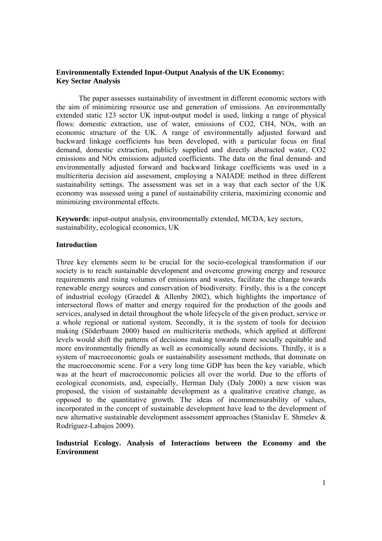## **Environmentally Extended Input-Output Analysis of the UK Economy: Key Sector Analysis**

The paper assesses sustainability of investment in different economic sectors with the aim of minimizing resource use and generation of emissions. An environmentally extended static 123 sector UK input-output model is used, linking a range of physical flows: domestic extraction, use of water, emissions of CO2, CH4, NOx, with an economic structure of the UK. A range of environmentally adjusted forward and backward linkage coefficients has been developed, with a particular focus on final demand, domestic extraction, publicly supplied and directly abstracted water, CO2 emissions and NOx emissions adjusted coefficients. The data on the final demand- and environmentally adjusted forward and backward linkage coefficients was used in a multicriteria decision aid assessment, employing a NAIADE method in three different sustainability settings. The assessment was set in a way that each sector of the UK economy was assessed using a panel of sustainability criteria, maximizing economic and minimizing environmental effects.

**Keywords**: input-output analysis, environmentally extended, MCDA, key sectors, sustainability, ecological economics, UK

#### **Introduction**

Three key elements seem to be crucial for the socio-ecological transformation if our society is to reach sustainable development and overcome growing energy and resource requirements and rising volumes of emissions and wastes, facilitate the change towards renewable energy sources and conservation of biodiversity. Firstly, this is a the concept of industrial ecology (Graedel & Allenby 2002), which highlights the importance of intersectoral flows of matter and energy required for the production of the goods and services, analysed in detail throughout the whole lifecycle of the given product, service or a whole regional or national system. Secondly, it is the system of tools for decision making (Söderbaum 2000) based on multicriteria methods, which applied at different levels would shift the patterns of decisions making towards more socially equitable and more environmentally friendly as well as economically sound decisions. Thirdly, it is a system of macroeconomic goals or sustainability assessment methods, that dominate on the macroeconomic scene. For a very long time GDP has been the key variable, which was at the heart of macroeconomic policies all over the world. Due to the efforts of ecological economists, and, especially, Herman Daly (Daly 2000) a new vision was proposed, the vision of sustainable development as a qualitative creative change, as opposed to the quantitative growth. The ideas of incommensurability of values, incorporated in the concept of sustainable development have lead to the development of new alternative sustainable development assessment approaches (Stanislav E. Shmelev & Rodríguez-Labajos 2009).

# **Industrial Ecology. Analysis of Interactions between the Economy and the Environment**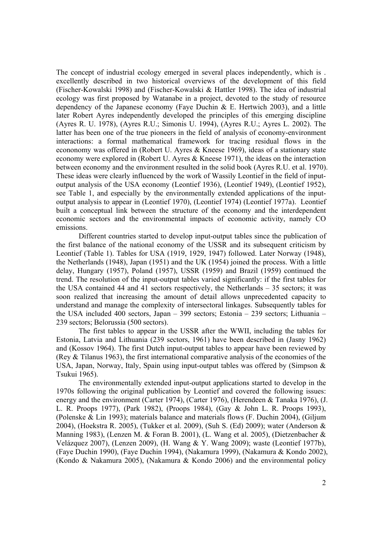The concept of industrial ecology emerged in several places independently, which is . excellently described in two historical overviews of the development of this field (Fischer-Kowalski 1998) and (Fischer-Kowalski & Hattler 1998). The idea of industrial ecology was first proposed by Watanabe in a project, devoted to the study of resource dependency of the Japanese economy (Faye Duchin & E. Hertwich 2003), and a little later Robert Ayres independently developed the principles of this emerging discipline (Ayres R. U. 1978), (Ayres R.U.; Simonis U. 1994), (Ayres R.U.; Ayres L. 2002). The latter has been one of the true pioneers in the field of analysis of economy-environment interactions: a formal mathematical framework for tracing residual flows in the econonomy was offered in (Robert U. Ayres & Kneese 1969), ideas of a stationary state economy were explored in (Robert U. Ayres & Kneese 1971), the ideas on the interaction between economy and the environment resulted in the solid book (Ayres R.U. et al. 1970). These ideas were clearly influenced by the work of Wassily Leontief in the field of inputoutput analysis of the USA economy (Leontief 1936), (Leontief 1949), (Leontief 1952), see Table 1, and especially by the environmentally extended applications of the inputoutput analysis to appear in (Leontief 1970), (Leontief 1974) (Leontief 1977a). Leontief built a conceptual link between the structure of the economy and the interdependent economic sectors and the environmental impacts of economic activity, namely CO emissions.

 Different countries started to develop input-output tables since the publication of the first balance of the national economy of the USSR and its subsequent criticism by Leontief (Table 1). Tables for USA (1919, 1929, 1947) followed. Later Norway (1948), the Netherlands (1948), Japan (1951) and the UK (1954) joined the process. With a little delay, Hungary (1957), Poland (1957), USSR (1959) and Brazil (1959) continued the trend. The resolution of the input-output tables varied significantly: if the first tables for the USA contained 44 and 41 sectors respectively, the Netherlands – 35 sectors; it was soon realized that increasing the amount of detail allows unprecedented capacity to understand and manage the complexity of intersectoral linkages. Subsequently tables for the USA included 400 sectors, Japan – 399 sectors; Estonia – 239 sectors; Lithuania – 239 sectors; Belorussia (500 sectors).

The first tables to appear in the USSR after the WWII, including the tables for Estonia, Latvia and Lithuania (239 sectors, 1961) have been described in (Jasny 1962) and (Kossov 1964). The first Dutch input-output tables to appear have been reviewed by (Rey & Tilanus 1963), the first international comparative analysis of the economies of the USA, Japan, Norway, Italy, Spain using input-output tables was offered by (Simpson  $\&$ Tsukui 1965).

The environmentally extended input-output applications started to develop in the 1970s following the original publication by Leontief and covered the following issues: energy and the environment (Carter 1974), (Carter 1976), (Herendeen & Tanaka 1976), (J. L. R. Proops 1977), (Park 1982), (Proops 1984), (Gay & John L. R. Proops 1993), (Polenske & Lin 1993); materials balance and materials flows (F. Duchin 2004), (Giljum 2004), (Hoekstra R. 2005), (Tukker et al. 2009), (Suh S. (Ed) 2009); water (Anderson & Manning 1983), (Lenzen M. & Foran B. 2001), (L. Wang et al. 2005), (Dietzenbacher & Velázquez 2007), (Lenzen 2009), (H. Wang & Y. Wang 2009); waste (Leontief 1977b), (Faye Duchin 1990), (Faye Duchin 1994), (Nakamura 1999), (Nakamura & Kondo 2002), (Kondo & Nakamura 2005), (Nakamura & Kondo 2006) and the environmental policy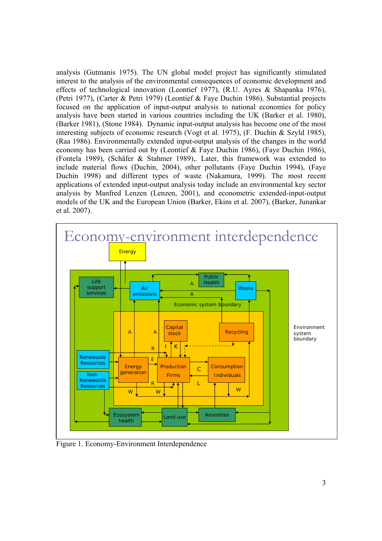analysis (Gutmanis 1975). The UN global model project has significantly stimulated interest to the analysis of the environmental consequences of economic development and effects of technological innovation (Leontief 1977), (R.U. Ayres & Shapanka 1976), (Petri 1977), (Carter & Petri 1979) (Leontief & Faye Duchin 1986). Substantial projects focused on the application of input-output analysis to national economies for policy analysis have been started in various countries including the UK (Barker et al. 1980), (Barker 1981), (Stone 1984). Dynamic input-output analysis has become one of the most interesting subjects of economic research (Vogt et al. 1975), (F. Duchin & Szyld 1985), (Raa 1986). Environmentally extended input-output analysis of the changes in the world economy has been carried out by (Leontief & Faye Duchin 1986), (Faye Duchin 1986), (Fontela 1989), (Schäfer & Stahmer 1989),. Later, this framework was extended to include material flows (Duchin, 2004), other pollutants (Faye Duchin 1994), (Faye Duchin 1998) and different types of waste (Nakamura, 1999). The most recent applications of extended input-output analysis today include an environmental key sector analysis by Manfred Lenzen (Lenzen, 2001), and econometric extended-input-output models of the UK and the European Union (Barker, Ekins et al. 2007), (Barker, Junankar et al. 2007).



Figure 1. Economy-Environment Interdependence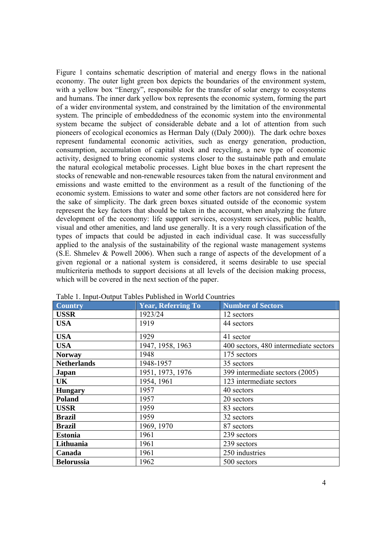Figure 1 contains schematic description of material and energy flows in the national economy. The outer light green box depicts the boundaries of the environment system, with a yellow box "Energy", responsible for the transfer of solar energy to ecosystems and humans. The inner dark yellow box represents the economic system, forming the part of a wider environmental system, and constrained by the limitation of the environmental system. The principle of embeddedness of the economic system into the environmental system became the subject of considerable debate and a lot of attention from such pioneers of ecological economics as Herman Daly ((Daly 2000)). The dark ochre boxes represent fundamental economic activities, such as energy generation, production, consumption, accumulation of capital stock and recycling, a new type of economic activity, designed to bring economic systems closer to the sustainable path and emulate the natural ecological metabolic processes. Light blue boxes in the chart represent the stocks of renewable and non-renewable resources taken from the natural environment and emissions and waste emitted to the environment as a result of the functioning of the economic system. Emissions to water and some other factors are not considered here for the sake of simplicity. The dark green boxes situated outside of the economic system represent the key factors that should be taken in the account, when analyzing the future development of the economy: life support services, ecosystem services, public health, visual and other amenities, and land use generally. It is a very rough classification of the types of impacts that could be adjusted in each individual case. It was successfully applied to the analysis of the sustainability of the regional waste management systems (S.E. Shmelev & Powell 2006). When such a range of aspects of the development of a given regional or a national system is considered, it seems desirable to use special multicriteria methods to support decisions at all levels of the decision making process, which will be covered in the next section of the paper.

| - - - <b>-</b><br><b>Country</b> | <b>Year, Referring To</b> | <b>Number of Sectors</b>              |
|----------------------------------|---------------------------|---------------------------------------|
| <b>USSR</b>                      | 1923/24                   | 12 sectors                            |
| <b>USA</b>                       | 1919                      | 44 sectors                            |
| <b>USA</b>                       | 1929                      | 41 sector                             |
| <b>USA</b>                       | 1947, 1958, 1963          | 400 sectors, 480 intermediate sectors |
| <b>Norway</b>                    | 1948                      | 175 sectors                           |
| <b>Netherlands</b>               | 1948-1957                 | 35 sectors                            |
| Japan                            | 1951, 1973, 1976          | 399 intermediate sectors (2005)       |
| UK                               | 1954, 1961                | 123 intermediate sectors              |
| <b>Hungary</b>                   | 1957                      | 40 sectors                            |
| Poland                           | 1957                      | 20 sectors                            |
| <b>USSR</b>                      | 1959                      | 83 sectors                            |
| <b>Brazil</b>                    | 1959                      | 32 sectors                            |
| <b>Brazil</b>                    | 1969, 1970                | 87 sectors                            |
| <b>Estonia</b>                   | 1961                      | 239 sectors                           |
| Lithuania                        | 1961                      | 239 sectors                           |
| Canada                           | 1961                      | 250 industries                        |
| <b>Belorussia</b>                | 1962                      | 500 sectors                           |

Table 1. Input-Output Tables Published in World Countries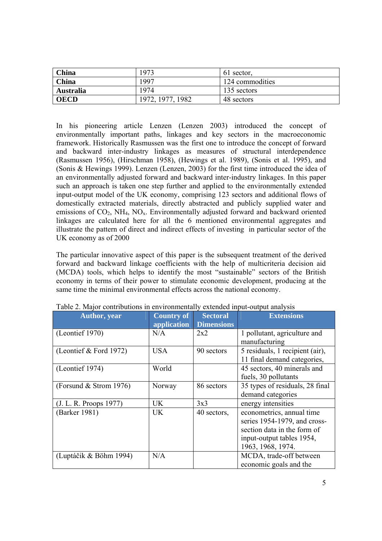| China            | 1973             | 61 sector,      |
|------------------|------------------|-----------------|
| China            | 1997             | 124 commodities |
| <b>Australia</b> | 1974             | 135 sectors     |
| <b>OECD</b>      | 1972, 1977, 1982 | 48 sectors      |

In his pioneering article Lenzen (Lenzen 2003) introduced the concept of environmentally important paths, linkages and key sectors in the macroeconomic framework. Historically Rasmussen was the first one to introduce the concept of forward and backward inter-industry linkages as measures of structural interdependence (Rasmussen 1956), (Hirschman 1958), (Hewings et al. 1989), (Sonis et al. 1995), and (Sonis & Hewings 1999). Lenzen (Lenzen, 2003) for the first time introduced the idea of an environmentally adjusted forward and backward inter-industry linkages. In this paper such an approach is taken one step further and applied to the environmentally extended input-output model of the UK economy, comprising 123 sectors and additional flows of domestically extracted materials, directly abstracted and publicly supplied water and emissions of  $CO<sub>2</sub>$ , NH<sub>4</sub>, NO<sub>x</sub>. Environmentally adjusted forward and backward oriented linkages are calculated here for all the 6 mentioned environmental aggregates and illustrate the pattern of direct and indirect effects of investing in particular sector of the UK economy as of 2000

The particular innovative aspect of this paper is the subsequent treatment of the derived forward and backward linkage coefficients with the help of multicriteria decision aid (MCDA) tools, which helps to identify the most "sustainable" sectors of the British economy in terms of their power to stimulate economic development, producing at the same time the minimal environmental effects across the national economy.

| <b>Author</b> , year     | <b>Country of</b> | <b>Sectoral</b>   | <b>Extensions</b>               |
|--------------------------|-------------------|-------------------|---------------------------------|
|                          | application       | <b>Dimensions</b> |                                 |
| (Leontief 1970)          | N/A               | 2x2               | 1 pollutant, agriculture and    |
|                          |                   |                   | manufacturing                   |
| (Leontief $&$ Ford 1972) | <b>USA</b>        | 90 sectors        | 5 residuals, 1 recipient (air), |
|                          |                   |                   | 11 final demand categories,     |
| (Leontief 1974)          | World             |                   | 45 sectors, 40 minerals and     |
|                          |                   |                   | fuels, 30 pollutants            |
| (Forsund $&$ Strom 1976) | Norway            | 86 sectors        | 35 types of residuals, 28 final |
|                          |                   |                   | demand categories               |
| (J. L. R. Proops 1977)   | UK.               | 3x3               | energy intensities              |
| (Barker 1981)            | UK                | 40 sectors,       | econometrics, annual time       |
|                          |                   |                   | series 1954-1979, and cross-    |
|                          |                   |                   | section data in the form of     |
|                          |                   |                   | input-output tables 1954,       |
|                          |                   |                   | 1963, 1968, 1974.               |
| (Luptáčik & Böhm 1994)   | N/A               |                   | MCDA, trade-off between         |
|                          |                   |                   | economic goals and the          |

Table 2. Major contributions in environmentally extended input-output analysis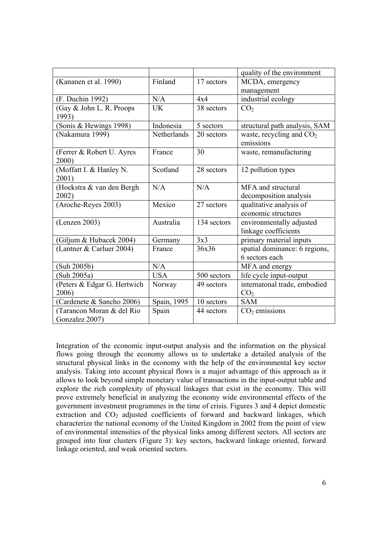|                             |             |             | quality of the environment    |
|-----------------------------|-------------|-------------|-------------------------------|
| (Kananen et al. 1990)       | Finland     | 17 sectors  | MCDA, emergency               |
|                             |             |             | management                    |
| (F. Duchin 1992)            | N/A         | 4x4         | industrial ecology            |
| (Gay & John L. R. Proops    | <b>UK</b>   | 38 sectors  | CO <sub>2</sub>               |
| 1993)                       |             |             |                               |
| (Sonis & Hewings 1998)      | Indonesia   | 5 sectors   | structural path analysis, SAM |
| (Nakamura 1999)             | Netherlands | 20 sectors  | waste, recycling and $CO2$    |
|                             |             |             | emissions                     |
| (Ferrer & Robert U. Ayres   | France      | 30          | waste, remanufacturing        |
| 2000)                       |             |             |                               |
| (Moffatt I. & Hanley N.     | Scotland    | 28 sectors  | 12 pollution types            |
| 2001)                       |             |             |                               |
| (Hoekstra & van den Bergh   | N/A         | N/A         | MFA and structural            |
| 2002)                       |             |             | decomposition analysis        |
| (Aroche-Reyes 2003)         | Mexico      | 27 sectors  | qualitative analysis of       |
|                             |             |             | economic structures           |
| (Lenzen 2003)               | Australia   | 134 sectors | environmentally adjusted      |
|                             |             |             | linkage coefficients          |
| Giljum & Hubacek 2004)      | Germany     | 3x3         | primary material inputs       |
| (Lantner & Carluer 2004)    | France      | 36x36       | spatial dominance: 6 regions, |
|                             |             |             | 6 sectors each                |
| (Suh 2005b)                 | N/A         |             | MFA and energy                |
| Suh 2005a)                  | <b>USA</b>  | 500 sectors | life cycle input-output       |
| (Peters & Edgar G. Hertwich | Norway      | 49 sectors  | internatonal trade, embodied  |
| 2006)                       |             |             | CO <sub>2</sub>               |
| (Cardenete & Sancho 2006)   | Spain, 1995 | 10 sectors  | <b>SAM</b>                    |
| (Tarancon Moran & del Rio   | Spain       | 44 sectors  | $CO2$ emissions               |
| Gonzalez 2007)              |             |             |                               |

Integration of the economic input-output analysis and the information on the physical flows going through the economy allows us to undertake a detailed analysis of the structural physical links in the economy with the help of the environmental key sector analysis. Taking into account physical flows is a major advantage of this approach as it allows to look beyond simple monetary value of transactions in the input-output table and explore the rich complexity of physical linkages that exist in the economy. This will prove extremely beneficial in analyzing the economy wide environmental effects of the government investment programmes in the time of crisis. Figures 3 and 4 depict domestic extraction and  $CO<sub>2</sub>$  adjusted coefficients of forward and backward linkages, which characterize the national economy of the United Kingdom in 2002 from the point of view of environmental intensities of the physical links among different sectors. All sectors are grouped into four clusters (Figure 3): key sectors, backward linkage oriented, forward linkage oriented, and weak oriented sectors.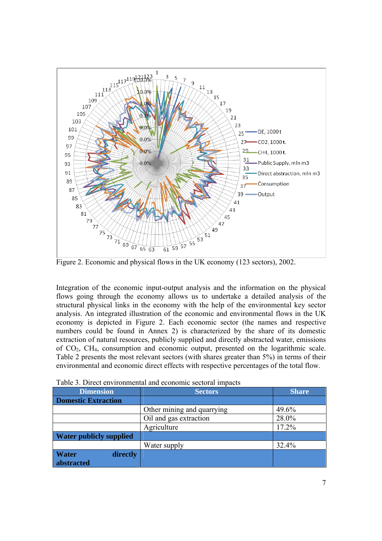

Figure 2. Economic and physical flows in the UK economy (123 sectors), 2002.

Integration of the economic input-output analysis and the information on the physical flows going through the economy allows us to undertake a detailed analysis of the structural physical links in the economy with the help of the environmental key sector analysis. An integrated illustration of the economic and environmental flows in the UK economy is depicted in Figure 2. Each economic sector (the names and respective numbers could be found in Annex 2) is characterized by the share of its domestic extraction of natural resources, publicly supplied and directly abstracted water, emissions of CO2, CH4, consumption and economic output, presented on the logarithmic scale. Table 2 presents the most relevant sectors (with shares greater than 5%) in terms of their environmental and economic direct effects with respective percentages of the total flow.

| <b>Dimension</b>               | <b>Sectors</b>             | <b>Share</b> |
|--------------------------------|----------------------------|--------------|
| <b>Domestic Extraction</b>     |                            |              |
|                                | Other mining and quarrying | 49.6%        |
|                                | Oil and gas extraction     | 28.0%        |
|                                | Agriculture                | 17.2%        |
| <b>Water publicly supplied</b> |                            |              |
|                                | Water supply               | 32.4%        |
| <b>Water</b><br>directly       |                            |              |
| abstracted                     |                            |              |

Table 3. Direct environmental and economic sectoral impacts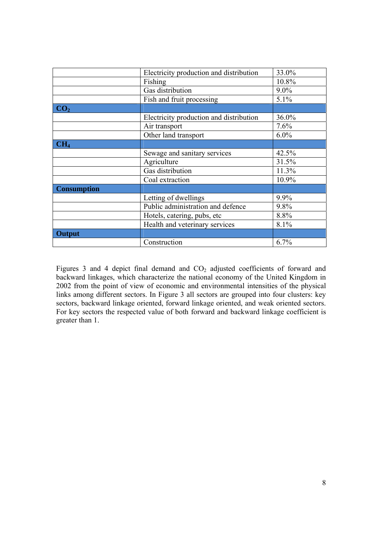|                    | Electricity production and distribution | 33.0%   |
|--------------------|-----------------------------------------|---------|
|                    | Fishing                                 | 10.8%   |
|                    | Gas distribution                        | $9.0\%$ |
|                    | Fish and fruit processing               | 5.1%    |
| CO <sub>2</sub>    |                                         |         |
|                    | Electricity production and distribution | 36.0%   |
|                    | Air transport                           | 7.6%    |
|                    | Other land transport                    | $6.0\%$ |
| CH <sub>4</sub>    |                                         |         |
|                    | Sewage and sanitary services            | 42.5%   |
|                    | Agriculture                             | 31.5%   |
|                    | Gas distribution                        | 11.3%   |
|                    | Coal extraction                         | 10.9%   |
| <b>Consumption</b> |                                         |         |
|                    | Letting of dwellings                    | 9.9%    |
|                    | Public administration and defence       | 9.8%    |
|                    | Hotels, catering, pubs, etc             | 8.8%    |
|                    | Health and veterinary services          | 8.1%    |
| <b>Output</b>      |                                         |         |
|                    | Construction                            | 6.7%    |

Figures 3 and 4 depict final demand and CO<sub>2</sub> adjusted coefficients of forward and backward linkages, which characterize the national economy of the United Kingdom in 2002 from the point of view of economic and environmental intensities of the physical links among different sectors. In Figure 3 all sectors are grouped into four clusters: key sectors, backward linkage oriented, forward linkage oriented, and weak oriented sectors. For key sectors the respected value of both forward and backward linkage coefficient is greater than 1.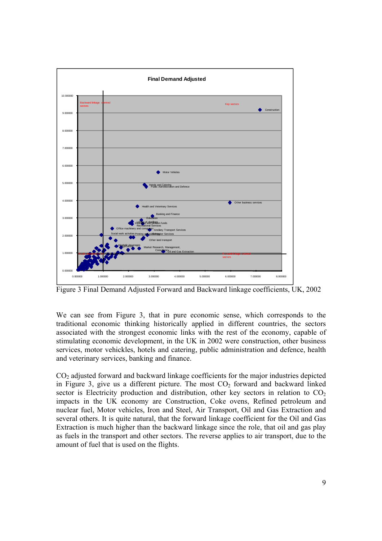

Figure 3 Final Demand Adjusted Forward and Backward linkage coefficients, UK, 2002

We can see from Figure 3, that in pure economic sense, which corresponds to the traditional economic thinking historically applied in different countries, the sectors associated with the strongest economic links with the rest of the economy, capable of stimulating economic development, in the UK in 2002 were construction, other business services, motor vehickles, hotels and catering, public administration and defence, health and veterinary services, banking and finance.

CO2 adjusted forward and backward linkage coefficients for the major industries depicted in Figure 3, give us a different picture. The most  $CO<sub>2</sub>$  forward and backward linked sector is Electricity production and distribution, other key sectors in relation to  $CO<sub>2</sub>$ impacts in the UK economy are Construction, Coke ovens, Refined petroleum and nuclear fuel, Motor vehicles, Iron and Steel, Air Transport, Oil and Gas Extraction and several others. It is quite natural, that the forward linkage coefficient for the Oil and Gas Extraction is much higher than the backward linkage since the role, that oil and gas play as fuels in the transport and other sectors. The reverse applies to air transport, due to the amount of fuel that is used on the flights.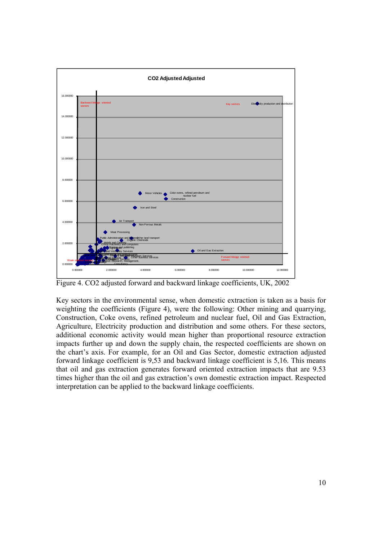

Figure 4. CO2 adjusted forward and backward linkage coefficients, UK, 2002

Key sectors in the environmental sense, when domestic extraction is taken as a basis for weighting the coefficients (Figure 4), were the following: Other mining and quarrying, Construction, Coke ovens, refined petroleum and nuclear fuel, Oil and Gas Extraction, Agriculture, Electricity production and distribution and some others. For these sectors, additional economic activity would mean higher than proportional resource extraction impacts further up and down the supply chain, the respected coefficients are shown on the chart's axis. For example, for an Oil and Gas Sector, domestic extraction adjusted forward linkage coefficient is 9,53 and backward linkage coefficient is 5,16. This means that oil and gas extraction generates forward oriented extraction impacts that are 9.53 times higher than the oil and gas extraction's own domestic extraction impact. Respected interpretation can be applied to the backward linkage coefficients.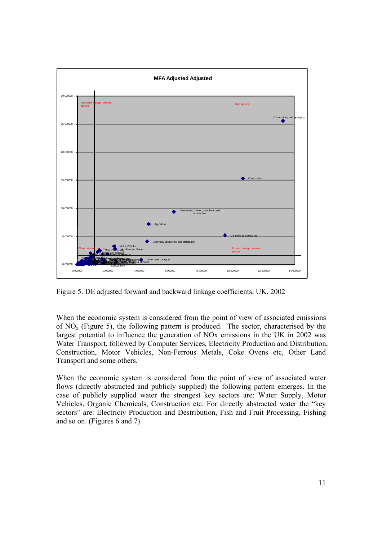

Figure 5. DE adjusted forward and backward linkage coefficients, UK, 2002

When the economic system is considered from the point of view of associated emissions of  $NO<sub>x</sub>$  (Figure 5), the following pattern is produced. The sector, characterised by the largest potential to influence the generation of NOx emissions in the UK in 2002 was Water Transport, followed by Computer Services, Electricity Production and Distribution, Construction, Motor Vehicles, Non-Ferrous Metals, Coke Ovens etc, Other Land Transport and some others.

When the economic system is considered from the point of view of associated water flows (directly abstracted and publicly supplied) the following pattern emerges. In the case of publicly supplied water the strongest key sectors are: Water Supply, Motor Vehicles, Organic Chemicals, Construction etc. For directly abstracted water the "key sectors" are: Electriciy Production and Destribution, Fish and Fruit Processing, Fishing and so on. (Figures 6 and 7).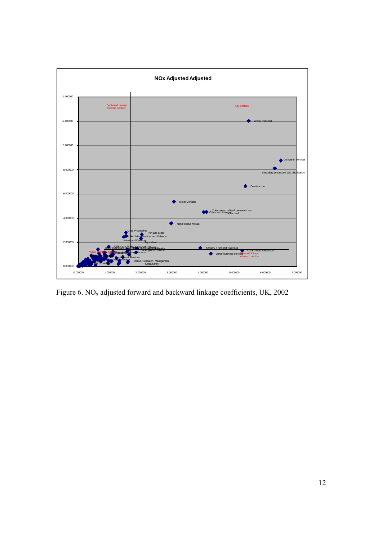

Figure 6. NO<sub>x</sub> adjusted forward and backward linkage coefficients, UK, 2002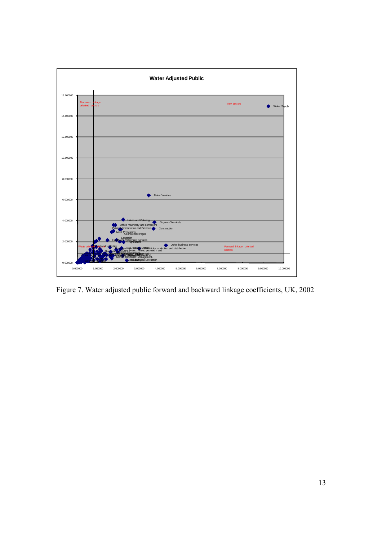

Figure 7. Water adjusted public forward and backward linkage coefficients, UK, 2002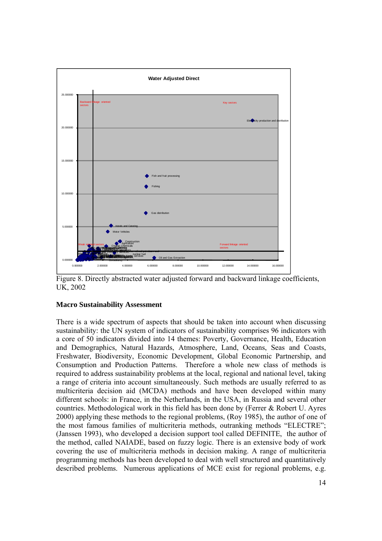

Figure 8. Directly abstracted water adjusted forward and backward linkage coefficients, UK, 2002

## **Macro Sustainability Assessment**

There is a wide spectrum of aspects that should be taken into account when discussing sustainability: the UN system of indicators of sustainability comprises 96 indicators with a core of 50 indicators divided into 14 themes: Poverty, Governance, Health, Education and Demographics, Natural Hazards, Atmosphere, Land, Oceans, Seas and Coasts, Freshwater, Biodiversity, Economic Development, Global Economic Partnership, and Consumption and Production Patterns. Therefore a whole new class of methods is required to address sustainability problems at the local, regional and national level, taking a range of criteria into account simultaneously. Such methods are usually referred to as multicriteria decision aid (MCDA) methods and have been developed within many different schools: in France, in the Netherlands, in the USA, in Russia and several other countries. Methodological work in this field has been done by (Ferrer & Robert U. Ayres 2000) applying these methods to the regional problems, (Roy 1985), the author of one of the most famous families of multicriteria methods, outranking methods "ELECTRE"; (Janssen 1993), who developed a decision support tool called DEFINITE, the author of the method, called NAIADE, based on fuzzy logic. There is an extensive body of work covering the use of multicriteria methods in decision making. A range of multicriteria programming methods has been developed to deal with well structured and quantitatively described problems. Numerous applications of MCE exist for regional problems, e.g.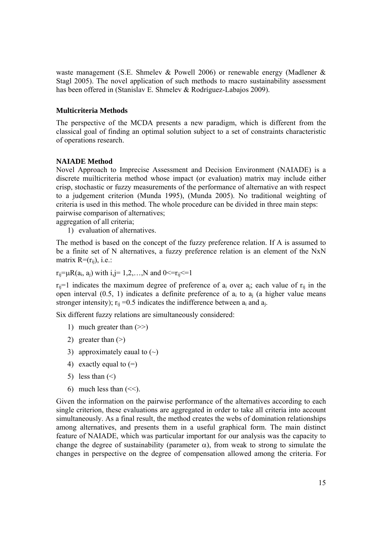waste management (S.E. Shmelev & Powell 2006) or renewable energy (Madlener & Stagl 2005). The novel application of such methods to macro sustainability assessment has been offered in (Stanislav E. Shmelev & Rodríguez-Labajos 2009).

# **Multicriteria Methods**

The perspective of the MCDA presents a new paradigm, which is different from the classical goal of finding an optimal solution subject to a set of constraints characteristic of operations research.

## **NAIADE Method**

Novel Approach to Imprecise Assessment and Decision Environment (NAIADE) is a discrete muilticriteria method whose impact (or evaluation) matrix may include either crisp, stochastic or fuzzy measurements of the performance of alternative an with respect to a judgement criterion (Munda 1995), (Munda 2005). No traditional weighting of criteria is used in this method. The whole procedure can be divided in three main steps: pairwise comparison of alternatives;

aggregation of all criteria;

1) evaluation of alternatives.

The method is based on the concept of the fuzzy preference relation. If A is assumed to be a finite set of N alternatives, a fuzzy preference relation is an element of the NxN matrix  $R=(r_{ii})$ , i.e.:

 $r_{ii} = \mu R(a_i, a_i)$  with  $i, j = 1, 2, \dots, N$  and  $0 \le r_{ii} \le 1$ 

 $r_{ii}=1$  indicates the maximum degree of preference of  $a_i$  over  $a_i$ ; each value of  $r_{ii}$  in the open interval  $(0.5, 1)$  indicates a definite preference of  $a_i$  to  $a_j$  (a higher value means stronger intensity);  $r_{ii} = 0.5$  indicates the indifference between  $a_i$  and  $a_i$ .

Six different fuzzy relations are simultaneously considered:

- 1) much greater than (>>)
- 2) greater than  $(>)$
- 3) approximately eaual to  $(\sim)$
- 4) exactly equal to  $(=)$
- 5) less than  $(\le)$
- 6) much less than  $(\leq)$ .

Given the information on the pairwise performance of the alternatives according to each single criterion, these evaluations are aggregated in order to take all criteria into account simultaneously. As a final result, the method creates the webs of domination relationships among alternatives, and presents them in a useful graphical form. The main distinct feature of NAIADE, which was particular important for our analysis was the capacity to change the degree of sustainability (parameter  $\alpha$ ), from weak to strong to simulate the changes in perspective on the degree of compensation allowed among the criteria. For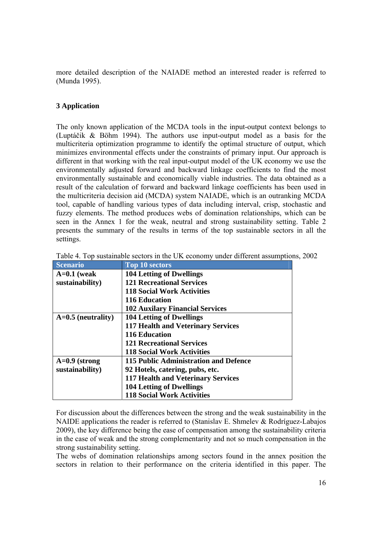more detailed description of the NAIADE method an interested reader is referred to (Munda 1995).

# **3 Application**

The only known application of the MCDA tools in the input-output context belongs to (Luptáčik & Böhm 1994). The authors use input-output model as a basis for the multicriteria optimization programme to identify the optimal structure of output, which minimizes environmental effects under the constraints of primary input. Our approach is different in that working with the real input-output model of the UK economy we use the environmentally adjusted forward and backward linkage coefficients to find the most environmentally sustainable and economically viable industries. The data obtained as a result of the calculation of forward and backward linkage coefficients has been used in the multicriteria decision aid (MCDA) system NAIADE, which is an outranking MCDA tool, capable of handling various types of data including interval, crisp, stochastic and fuzzy elements. The method produces webs of domination relationships, which can be seen in the Annex 1 for the weak, neutral and strong sustainability setting. Table 2 presents the summary of the results in terms of the top sustainable sectors in all the settings.

| <b>Scenario</b>      | <b>Top 10 sectors</b>                     |
|----------------------|-------------------------------------------|
| $A=0.1$ (weak        | <b>104 Letting of Dwellings</b>           |
| sustainability)      | <b>121 Recreational Services</b>          |
|                      | <b>118 Social Work Activities</b>         |
|                      | <b>116 Education</b>                      |
|                      | <b>102 Auxilary Financial Services</b>    |
| $A=0.5$ (neutrality) | <b>104 Letting of Dwellings</b>           |
|                      | <b>117 Health and Veterinary Services</b> |
|                      | <b>116 Education</b>                      |
|                      | <b>121 Recreational Services</b>          |
|                      | <b>118 Social Work Activities</b>         |
| $A=0.9$ (strong      | 115 Public Administration and Defence     |
| sustainability)      | 92 Hotels, catering, pubs, etc.           |
|                      | <b>117 Health and Veterinary Services</b> |
|                      | <b>104 Letting of Dwellings</b>           |
|                      | <b>118 Social Work Activities</b>         |

Table 4. Top sustainable sectors in the UK economy under different assumptions, 2002

For discussion about the differences between the strong and the weak sustainability in the NAIDE applications the reader is referred to (Stanislav E. Shmelev & Rodríguez-Labajos 2009), the key difference being the ease of compensation among the sustainability criteria in the case of weak and the strong complementarity and not so much compensation in the strong sustainability setting.

The webs of domination relationships among sectors found in the annex position the sectors in relation to their performance on the criteria identified in this paper. The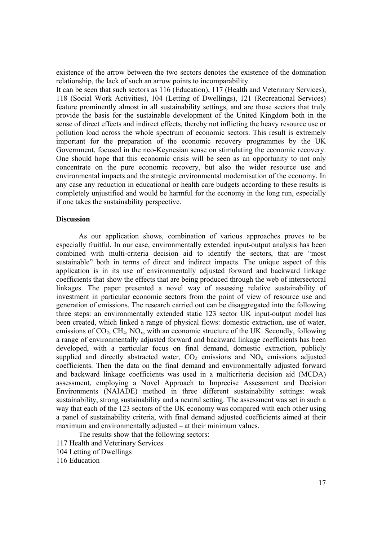existence of the arrow between the two sectors denotes the existence of the domination relationship, the lack of such an arrow points to incomparability.

It can be seen that such sectors as 116 (Education), 117 (Health and Veterinary Services), 118 (Social Work Activities), 104 (Letting of Dwellings), 121 (Recreational Services) feature prominently almost in all sustainability settings, and are those sectors that truly provide the basis for the sustainable development of the United Kingdom both in the sense of direct effects and indirect effects, thereby not inflicting the heavy resource use or pollution load across the whole spectrum of economic sectors. This result is extremely important for the preparation of the economic recovery programmes by the UK Government, focused in the neo-Keynesian sense on stimulating the economic recovery. One should hope that this economic crisis will be seen as an opportunity to not only concentrate on the pure economic recovery, but also the wider resource use and environmental impacts and the strategic environmental modernisation of the economy. In any case any reduction in educational or health care budgets according to these results is completely unjustified and would be harmful for the economy in the long run, especially if one takes the sustainability perspective.

#### **Discussion**

As our application shows, combination of various approaches proves to be especially fruitful. In our case, environmentally extended input-output analysis has been combined with multi-criteria decision aid to identify the sectors, that are "most sustainable" both in terms of direct and indirect impacts. The unique aspect of this application is in its use of environmentally adjusted forward and backward linkage coefficients that show the effects that are being produced through the web of intersectoral linkages. The paper presented a novel way of assessing relative sustainability of investment in particular economic sectors from the point of view of resource use and generation of emissions. The research carried out can be disaggregated into the following three steps: an environmentally extended static 123 sector UK input-output model has been created, which linked a range of physical flows: domestic extraction, use of water, emissions of  $CO_2$ ,  $CH_4$ ,  $NO_x$ , with an economic structure of the UK. Secondly, following a range of environmentally adjusted forward and backward linkage coefficients has been developed, with a particular focus on final demand, domestic extraction, publicly supplied and directly abstracted water,  $CO<sub>2</sub>$  emissions and  $NO<sub>x</sub>$  emissions adjusted coefficients. Then the data on the final demand and environmentally adjusted forward and backward linkage coefficients was used in a multicriteria decision aid (MCDA) assessment, employing a Novel Approach to Imprecise Assessment and Decision Environments (NAIADE) method in three different sustainability settings: weak sustainability, strong sustainability and a neutral setting. The assessment was set in such a way that each of the 123 sectors of the UK economy was compared with each other using a panel of sustainability criteria, with final demand adjusted coefficients aimed at their maximum and environmentally adjusted – at their minimum values.

The results show that the following sectors:

- 117 Health and Veterinary Services
- 104 Letting of Dwellings
- 116 Education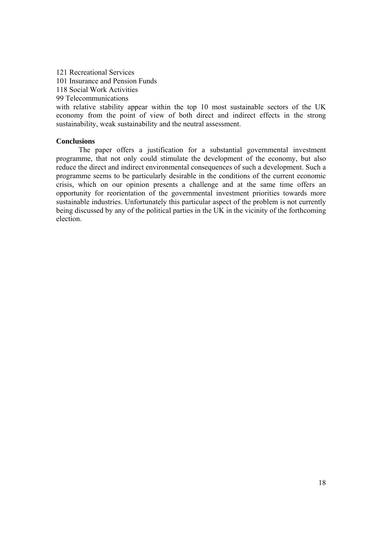121 Recreational Services 101 Insurance and Pension Funds 118 Social Work Activities 99 Telecommunications with relative stability appear within the top 10 most sustainable sectors of the UK economy from the point of view of both direct and indirect effects in the strong

sustainability, weak sustainability and the neutral assessment.

**Conclusions** 

 The paper offers a justification for a substantial governmental investment programme, that not only could stimulate the development of the economy, but also reduce the direct and indirect environmental consequences of such a development. Such a programme seems to be particularly desirable in the conditions of the current economic crisis, which on our opinion presents a challenge and at the same time offers an opportunity for reorientation of the governmental investment priorities towards more sustainable industries. Unfortunately this particular aspect of the problem is not currently being discussed by any of the political parties in the UK in the vicinity of the forthcoming election.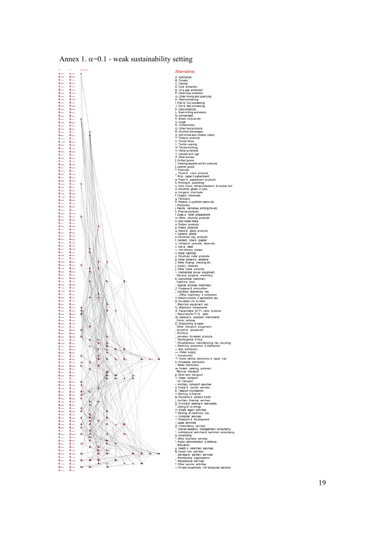

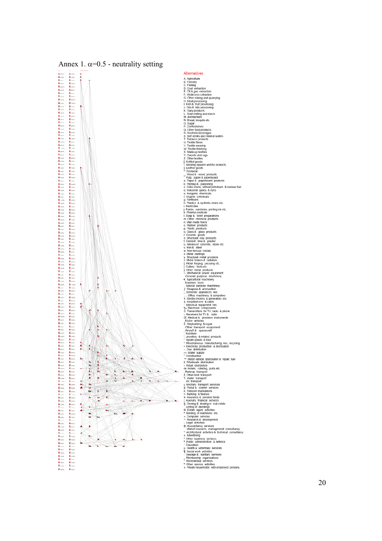

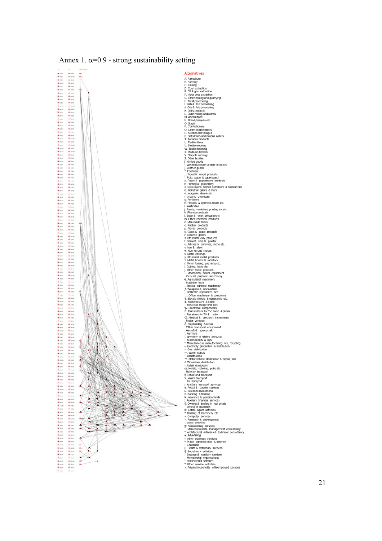

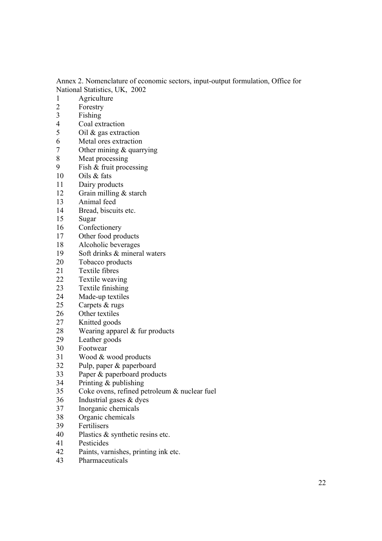Annex 2. Nomenclature of economic sectors, input-output formulation, Office for National Statistics, UK, 2002

- 1 Agriculture
- 2 Forestry
- 3 Fishing
- 4 Coal extraction
- 5 Oil & gas extraction
- 6 Metal ores extraction
- 7 Other mining & quarrying<br>8 Meat processing
- 8 Meat processing<br>9 Fish & fruit processing
- Fish  $\&$  fruit processing
- 10 Oils & fats
- 11 Dairy products
- 12 Grain milling & starch
- 13 Animal feed
- 14 Bread, biscuits etc.
- 15 Sugar
- 16 Confectionery
- 17 Other food products
- 18 Alcoholic beverages
- 19 Soft drinks & mineral waters
- 20 Tobacco products
- 21 Textile fibres<br>22 Textile weavi
- Textile weaving
- 23 Textile finishing
- 24 Made-up textiles
- 25 Carpets & rugs
- 26 Other textiles
- 27 Knitted goods
- 28 Wearing apparel & fur products
- 29 Leather goods
- 30 Footwear<br>31 Wood & y
- Wood & wood products
- 32 Pulp, paper & paperboard
- 33 Paper & paperboard products
- 34 Printing & publishing
- 35 Coke ovens, refined petroleum & nuclear fuel
- 36 Industrial gases & dyes
- 37 Inorganic chemicals
- 38 Organic chemicals
- 39 Fertilisers
- 40 Plastics & synthetic resins etc.
- 41 Pesticides
- 42 Paints, varnishes, printing ink etc.
- 43 Pharmaceuticals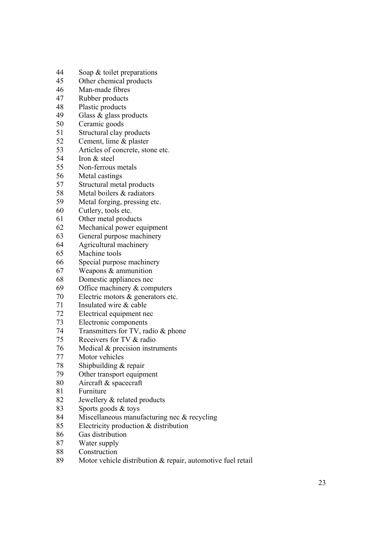- 44 Soap & toilet preparations
- 45 Other chemical products
- 46 Man-made fibres
- 47 Rubber products
- 48 Plastic products
- 49 Glass & glass products
- 50 Ceramic goods
- 51 Structural clay products
- 52 Cement, lime & plaster
- 53 Articles of concrete, stone etc.<br>54 Iron & steel
- Iron & steel
- 55 Non-ferrous metals
- 56 Metal castings
- 57 Structural metal products
- 58 Metal boilers & radiators
- 59 Metal forging, pressing etc.
- 60 Cutlery, tools etc.
- 61 Other metal products
- 62 Mechanical power equipment
- 63 General purpose machinery
- 64 Agricultural machinery
- 65 Machine tools
- 66 Special purpose machinery
- 67 Weapons & ammunition
- 68 Domestic appliances nec
- 69 Office machinery & computers
- 70 Electric motors & generators etc.
- 71 Insulated wire & cable
- 72 Electrical equipment nec
- 73 Electronic components
- 74 Transmitters for TV, radio & phone
- 75 Receivers for TV & radio
- 76 Medical & precision instruments<br>77 Motor vehicles
- Motor vehicles
- 78 Shipbuilding & repair
- 79 Other transport equipment
- 80 Aircraft & spacecraft
- 81 Furniture
- 82 Jewellery & related products
- 83 Sports goods & toys
- 84 Miscellaneous manufacturing nec & recycling
- 85 Electricity production & distribution
- 86 Gas distribution
- 87 Water supply
- 88 Construction
- 89 Motor vehicle distribution & repair, automotive fuel retail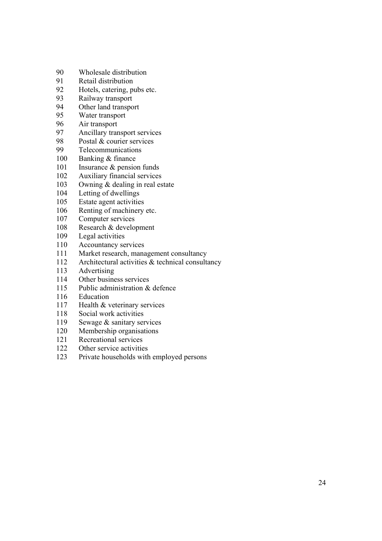- 90 Wholesale distribution
- 91 Retail distribution<br>92 Hotels catering p
- Hotels, catering, pubs etc.
- 93 Railway transport
- 94 Other land transport
- 95 Water transport
- 96 Air transport
- 97 Ancillary transport services
- 98 Postal & courier services
- 99 Telecommunications
- 100 Banking & finance
- 101 Insurance & pension funds
- 102 Auxiliary financial services
- 103 Owning & dealing in real estate
- 104 Letting of dwellings
- 105 Estate agent activities
- 106 Renting of machinery etc.
- 107 Computer services
- 108 Research & development
- 109 Legal activities
- 110 Accountancy services
- 111 Market research, management consultancy
- 112 Architectural activities & technical consultancy
- 113 Advertising
- 114 Other business services
- 115 Public administration & defence
- 116 Education
- 117 Health & veterinary services
- 118 Social work activities
- 119 Sewage & sanitary services
- 120 Membership organisations
- 121 Recreational services
- 122 Other service activities
- 123 Private households with employed persons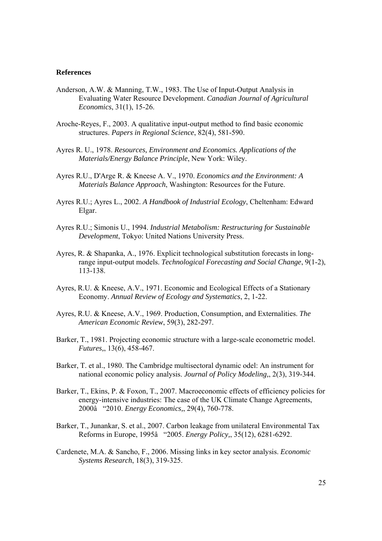#### **References**

- Anderson, A.W. & Manning, T.W., 1983. The Use of Input-Output Analysis in Evaluating Water Resource Development. *Canadian Journal of Agricultural Economics*, 31(1), 15-26.
- Aroche-Reyes, F., 2003. A qualitative input-output method to find basic economic structures. *Papers in Regional Science*, 82(4), 581-590.
- Ayres R. U., 1978. *Resources, Environment and Economics. Applications of the Materials/Energy Balance Principle*, New York: Wiley.
- Ayres R.U., D'Arge R. & Kneese A. V., 1970. *Economics and the Environment: A Materials Balance Approach*, Washington: Resources for the Future.
- Ayres R.U.; Ayres L., 2002. *A Handbook of Industrial Ecology*, Cheltenham: Edward Elgar.
- Ayres R.U.; Simonis U., 1994. *Industrial Metabolism: Restructuring for Sustainable Development*, Tokyo: United Nations University Press.
- Ayres, R. & Shapanka, A., 1976. Explicit technological substitution forecasts in longrange input-output models. *Technological Forecasting and Social Change*, 9(1-2), 113-138.
- Ayres, R.U. & Kneese, A.V., 1971. Economic and Ecological Effects of a Stationary Economy. *Annual Review of Ecology and Systematics*, 2, 1-22.
- Ayres, R.U. & Kneese, A.V., 1969. Production, Consumption, and Externalities. *The American Economic Review*, 59(3), 282-297.
- Barker, T., 1981. Projecting economic structure with a large-scale econometric model. *Futures,*, 13(6), 458-467.
- Barker, T. et al., 1980. The Cambridge multisectoral dynamic odel: An instrument for national economic policy analysis. *Journal of Policy Modeling,*, 2(3), 319-344.
- Barker, T., Ekins, P. & Foxon, T., 2007. Macroeconomic effects of efficiency policies for energy-intensive industries: The case of the UK Climate Change Agreements, 2000â "2010. *Energy Economics,*, 29(4), 760-778.
- Barker, T., Junankar, S. et al., 2007. Carbon leakage from unilateral Environmental Tax Reforms in Europe, 1995â "2005. *Energy Policy,*, 35(12), 6281-6292.
- Cardenete, M.A. & Sancho, F., 2006. Missing links in key sector analysis. *Economic Systems Research*, 18(3), 319-325.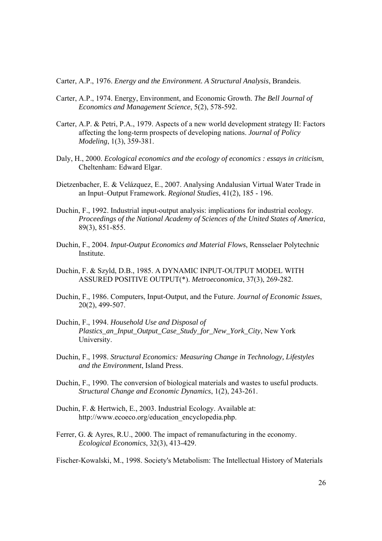Carter, A.P., 1976. *Energy and the Environment. A Structural Analysis*, Brandeis.

- Carter, A.P., 1974. Energy, Environment, and Economic Growth. *The Bell Journal of Economics and Management Science*, 5(2), 578-592.
- Carter, A.P. & Petri, P.A., 1979. Aspects of a new world development strategy II: Factors affecting the long-term prospects of developing nations. *Journal of Policy Modeling*, 1(3), 359-381.
- Daly, H., 2000. *Ecological economics and the ecology of economics : essays in criticism*, Cheltenham: Edward Elgar.
- Dietzenbacher, E. & Velázquez, E., 2007. Analysing Andalusian Virtual Water Trade in an Input–Output Framework. *Regional Studies*, 41(2), 185 - 196.
- Duchin, F., 1992. Industrial input-output analysis: implications for industrial ecology. *Proceedings of the National Academy of Sciences of the United States of America*, 89(3), 851-855.
- Duchin, F., 2004. *Input-Output Economics and Material Flows*, Rensselaer Polytechnic **Institute**
- Duchin, F. & Szyld, D.B., 1985. A DYNAMIC INPUT-OUTPUT MODEL WITH ASSURED POSITIVE OUTPUT(\*). *Metroeconomica*, 37(3), 269-282.
- Duchin, F., 1986. Computers, Input-Output, and the Future. *Journal of Economic Issues*, 20(2), 499-507.
- Duchin, F., 1994. *Household Use and Disposal of Plastics\_an\_Input\_Output\_Case\_Study\_for\_New\_York\_City*, New York University.
- Duchin, F., 1998. *Structural Economics: Measuring Change in Technology, Lifestyles and the Environment*, Island Press.
- Duchin, F., 1990. The conversion of biological materials and wastes to useful products. *Structural Change and Economic Dynamics*, 1(2), 243-261.
- Duchin, F. & Hertwich, E., 2003. Industrial Ecology. Available at: http://www.ecoeco.org/education\_encyclopedia.php.
- Ferrer, G. & Ayres, R.U., 2000. The impact of remanufacturing in the economy. *Ecological Economics*, 32(3), 413-429.

Fischer-Kowalski, M., 1998. Society's Metabolism: The Intellectual History of Materials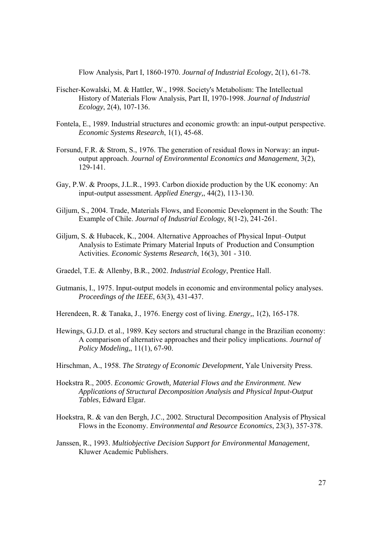Flow Analysis, Part I, 1860-1970. *Journal of Industrial Ecology*, 2(1), 61-78.

- Fischer-Kowalski, M. & Hattler, W., 1998. Society's Metabolism: The Intellectual History of Materials Flow Analysis, Part II, 1970-1998. *Journal of Industrial Ecology*, 2(4), 107-136.
- Fontela, E., 1989. Industrial structures and economic growth: an input-output perspective. *Economic Systems Research*, 1(1), 45-68.
- Forsund, F.R. & Strom, S., 1976. The generation of residual flows in Norway: an inputoutput approach. *Journal of Environmental Economics and Management*, 3(2), 129-141.
- Gay, P.W. & Proops, J.L.R., 1993. Carbon dioxide production by the UK economy: An input-output assessment. *Applied Energy,*, 44(2), 113-130.
- Giljum, S., 2004. Trade, Materials Flows, and Economic Development in the South: The Example of Chile. *Journal of Industrial Ecology*, 8(1-2), 241-261.
- Giljum, S. & Hubacek, K., 2004. Alternative Approaches of Physical Input–Output Analysis to Estimate Primary Material Inputs of Production and Consumption Activities. *Economic Systems Research*, 16(3), 301 - 310.
- Graedel, T.E. & Allenby, B.R., 2002. *Industrial Ecology*, Prentice Hall.
- Gutmanis, I., 1975. Input-output models in economic and environmental policy analyses. *Proceedings of the IEEE*, 63(3), 431-437.
- Herendeen, R. & Tanaka, J., 1976. Energy cost of living. *Energy,*, 1(2), 165-178.
- Hewings, G.J.D. et al., 1989. Key sectors and structural change in the Brazilian economy: A comparison of alternative approaches and their policy implications. *Journal of Policy Modeling,*, 11(1), 67-90.
- Hirschman, A., 1958. *The Strategy of Economic Development*, Yale University Press.
- Hoekstra R., 2005. *Economic Growth, Material Flows and the Environment. New Applications of Structural Decomposition Analysis and Physical Input-Output Tables*, Edward Elgar.
- Hoekstra, R. & van den Bergh, J.C., 2002. Structural Decomposition Analysis of Physical Flows in the Economy. *Environmental and Resource Economics*, 23(3), 357-378.
- Janssen, R., 1993. *Multiobjective Decision Support for Environmental Management*, Kluwer Academic Publishers.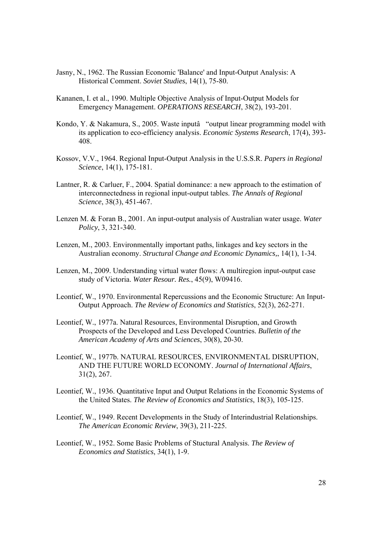- Jasny, N., 1962. The Russian Economic 'Balance' and Input-Output Analysis: A Historical Comment. *Soviet Studies*, 14(1), 75-80.
- Kananen, I. et al., 1990. Multiple Objective Analysis of Input-Output Models for Emergency Management. *OPERATIONS RESEARCH*, 38(2), 193-201.
- Kondo, Y. & Nakamura, S., 2005. Waste inputâ "output linear programming model with its application to eco-efficiency analysis. *Economic Systems Research*, 17(4), 393- 408.
- Kossov, V.V., 1964. Regional Input-Output Analysis in the U.S.S.R. *Papers in Regional Science*, 14(1), 175-181.
- Lantner, R. & Carluer, F., 2004. Spatial dominance: a new approach to the estimation of interconnectedness in regional input-output tables. *The Annals of Regional Science*, 38(3), 451-467.
- Lenzen M. & Foran B., 2001. An input-output analysis of Australian water usage. *Water Policy*, 3, 321-340.
- Lenzen, M., 2003. Environmentally important paths, linkages and key sectors in the Australian economy. *Structural Change and Economic Dynamics,*, 14(1), 1-34.
- Lenzen, M., 2009. Understanding virtual water flows: A multiregion input-output case study of Victoria. *Water Resour. Res.*, 45(9), W09416.
- Leontief, W., 1970. Environmental Repercussions and the Economic Structure: An Input-Output Approach. *The Review of Economics and Statistics*, 52(3), 262-271.
- Leontief, W., 1977a. Natural Resources, Environmental Disruption, and Growth Prospects of the Developed and Less Developed Countries. *Bulletin of the American Academy of Arts and Sciences*, 30(8), 20-30.
- Leontief, W., 1977b. NATURAL RESOURCES, ENVIRONMENTAL DISRUPTION, AND THE FUTURE WORLD ECONOMY. *Journal of International Affairs*, 31(2), 267.
- Leontief, W., 1936. Quantitative Input and Output Relations in the Economic Systems of the United States. *The Review of Economics and Statistics*, 18(3), 105-125.
- Leontief, W., 1949. Recent Developments in the Study of Interindustrial Relationships. *The American Economic Review*, 39(3), 211-225.
- Leontief, W., 1952. Some Basic Problems of Stuctural Analysis. *The Review of Economics and Statistics*, 34(1), 1-9.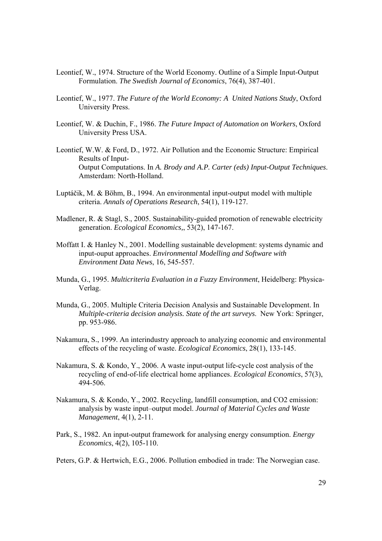- Leontief, W., 1974. Structure of the World Economy. Outline of a Simple Input-Output Formulation. *The Swedish Journal of Economics*, 76(4), 387-401.
- Leontief, W., 1977. *The Future of the World Economy: A United Nations Study*, Oxford University Press.
- Leontief, W. & Duchin, F., 1986. *The Future Impact of Automation on Workers*, Oxford University Press USA.
- Leontief, W.W. & Ford, D., 1972. Air Pollution and the Economic Structure: Empirical Results of Input-Output Computations. In *A. Brody and A.P. Carter (eds) Input-Output Techniques*. Amsterdam: North-Holland.
- Luptáčik, M. & Böhm, B., 1994. An environmental input-output model with multiple criteria. *Annals of Operations Research*, 54(1), 119-127.
- Madlener, R. & Stagl, S., 2005. Sustainability-guided promotion of renewable electricity generation. *Ecological Economics,*, 53(2), 147-167.
- Moffatt I. & Hanley N., 2001. Modelling sustainable development: systems dynamic and input-ouput approaches. *Environmental Modelling and Software with Environment Data News*, 16, 545-557.
- Munda, G., 1995. *Multicriteria Evaluation in a Fuzzy Environment*, Heidelberg: Physica-Verlag.
- Munda, G., 2005. Multiple Criteria Decision Analysis and Sustainable Development. In *Multiple-criteria decision analysis. State of the art surveys*. New York: Springer, pp. 953-986.
- Nakamura, S., 1999. An interindustry approach to analyzing economic and environmental effects of the recycling of waste. *Ecological Economics*, 28(1), 133-145.
- Nakamura, S. & Kondo, Y., 2006. A waste input-output life-cycle cost analysis of the recycling of end-of-life electrical home appliances. *Ecological Economics*, 57(3), 494-506.
- Nakamura, S. & Kondo, Y., 2002. Recycling, landfill consumption, and CO2 emission: analysis by waste input–output model. *Journal of Material Cycles and Waste Management*, 4(1), 2-11.
- Park, S., 1982. An input-output framework for analysing energy consumption. *Energy Economics*, 4(2), 105-110.
- Peters, G.P. & Hertwich, E.G., 2006. Pollution embodied in trade: The Norwegian case.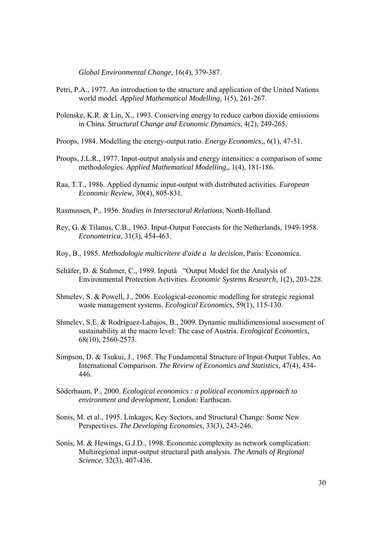*Global Environmental Change*, 16(4), 379-387.

- Petri, P.A., 1977. An introduction to the structure and application of the United Nations world model. *Applied Mathematical Modelling*, 1(5), 261-267.
- Polenske, K.R. & Lin, X., 1993. Conserving energy to reduce carbon dioxide emissions in China. *Structural Change and Economic Dynamics*, 4(2), 249-265.
- Proops, 1984. Modelling the energy-output ratio. *Energy Economics,*, 6(1), 47-51.
- Proops, J.L.R., 1977. Input-output analysis and energy intensities: a comparison of some methodologies. *Applied Mathematical Modelling,*, 1(4), 181-186.
- Raa, T.T., 1986. Applied dynamic input-output with distributed activities. *European Economic Review*, 30(4), 805-831.
- Rasmussen, P., 1956. *Studies in Intersectoral Relations*, North-Holland.
- Rey, G. & Tilanus, C.B., 1963. Input-Output Forecasts for the Netherlands, 1949-1958. *Econometrica*, 31(3), 454-463.
- Roy, B., 1985. *Methodologie multicritere d'aide a la decision*, Paris: Economica.
- Schäfer, D. & Stahmer, C., 1989. Inputâ "Output Model for the Analysis of Environmental Protection Activities. *Economic Systems Research*, 1(2), 203-228.
- Shmelev, S. & Powell, J., 2006. Ecological-economic modelling for strategic regional waste management systems. *Ecological Economics*, 59(1), 115-130.
- Shmelev, S.E. & Rodríguez-Labajos, B., 2009. Dynamic multidimensional assessment of sustainability at the macro level: The case of Austria. *Ecological Economics*, 68(10), 2560-2573.
- Simpson, D. & Tsukui, J., 1965. The Fundamental Structure of Input-Output Tables, An International Comparison. *The Review of Economics and Statistics*, 47(4), 434- 446.
- Söderbaum, P., 2000. *Ecological economics : a political economics approach to environment and development*, London: Earthscan.
- Sonis, M. et al., 1995. Linkages, Key Sectors, and Structural Change: Some New Perspectives. *The Developing Economies*, 33(3), 243-246.
- Sonis, M. & Hewings, G.J.D., 1998. Economic complexity as network complication: Multiregional input-output structural path analysis. *The Annals of Regional Science*, 32(3), 407-436.